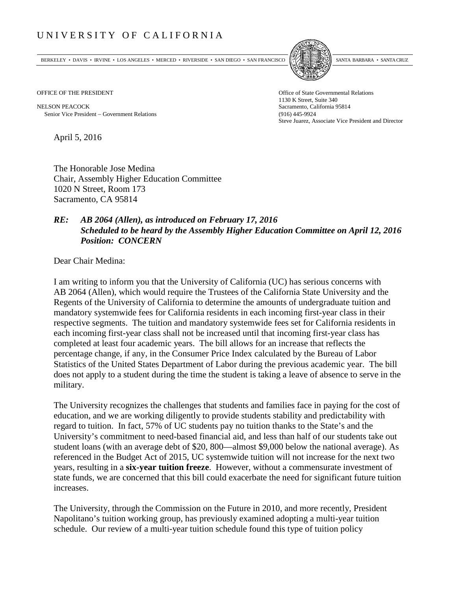## UNIVERSITY OF CALIFORNIA

BERKELEY • DAVIS • IRVINE • LOS ANGELES • MERCED • RIVERSIDE • SAN DIEGO • SAN FRANCISCO [5] SANTA BARBARA • SANTA CRUZ



NELSON PEACOCK Sacramento, California 95814 Senior Vice President − Government Relations (916) 445-9924

OFFICE OF THE PRESIDENT STATES OF THE PRESIDENT 1130 K Street, Suite 340 Steve Juarez, Associate Vice President and Director

April 5, 2016

The Honorable Jose Medina Chair, Assembly Higher Education Committee 1020 N Street, Room 173 Sacramento, CA 95814

## *RE: AB 2064 (Allen), as introduced on February 17, 2016 Scheduled to be heard by the Assembly Higher Education Committee on April 12, 2016 Position: CONCERN*

Dear Chair Medina:

I am writing to inform you that the University of California (UC) has serious concerns with AB 2064 (Allen), which would require the Trustees of the California State University and the Regents of the University of California to determine the amounts of undergraduate tuition and mandatory systemwide fees for California residents in each incoming first-year class in their respective segments. The tuition and mandatory systemwide fees set for California residents in each incoming first-year class shall not be increased until that incoming first-year class has completed at least four academic years. The bill allows for an increase that reflects the percentage change, if any, in the Consumer Price Index calculated by the Bureau of Labor Statistics of the United States Department of Labor during the previous academic year. The bill does not apply to a student during the time the student is taking a leave of absence to serve in the military.

The University recognizes the challenges that students and families face in paying for the cost of education, and we are working diligently to provide students stability and predictability with regard to tuition. In fact, 57% of UC students pay no tuition thanks to the State's and the University's commitment to need-based financial aid, and less than half of our students take out student loans (with an average debt of \$20, 800—almost \$9,000 below the national average). As referenced in the Budget Act of 2015, UC systemwide tuition will not increase for the next two years, resulting in a **six-year tuition freeze**. However, without a commensurate investment of state funds, we are concerned that this bill could exacerbate the need for significant future tuition increases.

The University, through the Commission on the Future in 2010, and more recently, President Napolitano's tuition working group, has previously examined adopting a multi-year tuition schedule. Our review of a multi-year tuition schedule found this type of tuition policy